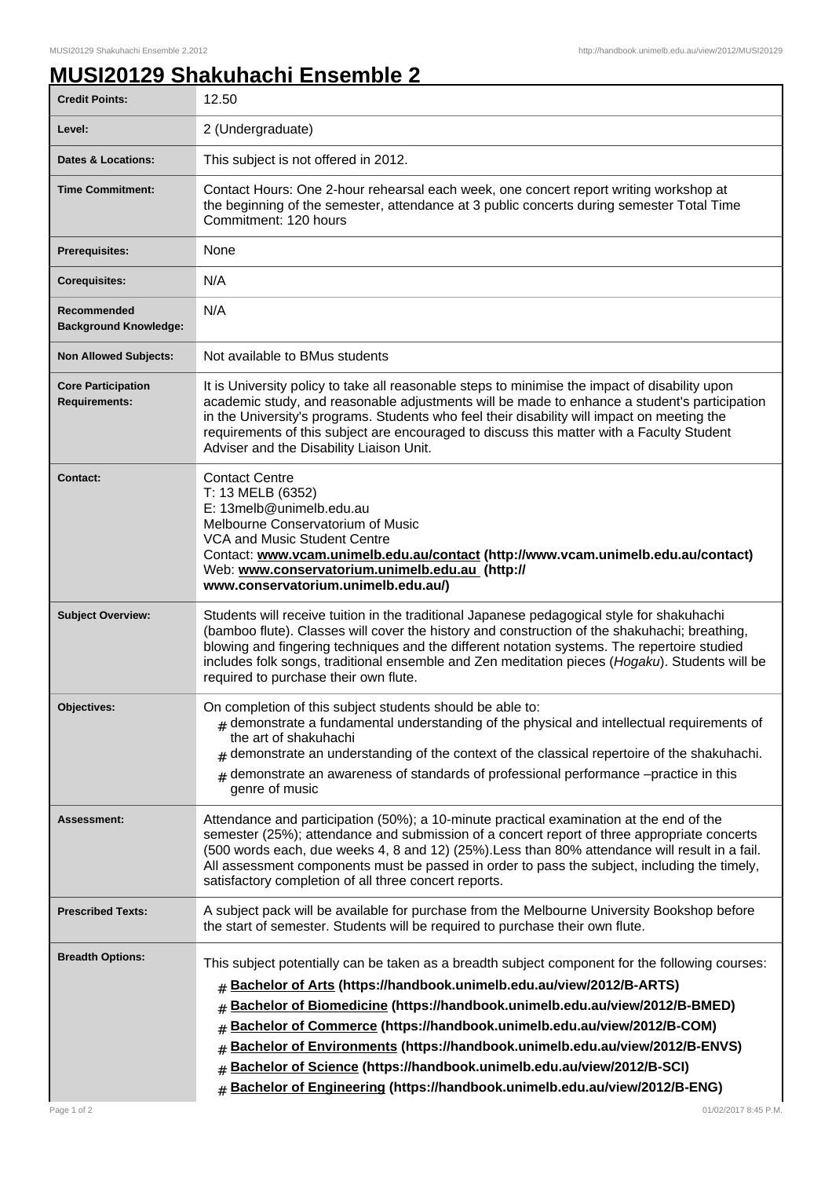## **MUSI20129 Shakuhachi Ensemble 2**

| <b>Credit Points:</b>                             | 12.50                                                                                                                                                                                                                                                                                                                                                                                                                                                                                                                                                                                             |
|---------------------------------------------------|---------------------------------------------------------------------------------------------------------------------------------------------------------------------------------------------------------------------------------------------------------------------------------------------------------------------------------------------------------------------------------------------------------------------------------------------------------------------------------------------------------------------------------------------------------------------------------------------------|
| Level:                                            | 2 (Undergraduate)                                                                                                                                                                                                                                                                                                                                                                                                                                                                                                                                                                                 |
| <b>Dates &amp; Locations:</b>                     | This subject is not offered in 2012.                                                                                                                                                                                                                                                                                                                                                                                                                                                                                                                                                              |
| <b>Time Commitment:</b>                           | Contact Hours: One 2-hour rehearsal each week, one concert report writing workshop at<br>the beginning of the semester, attendance at 3 public concerts during semester Total Time<br>Commitment: 120 hours                                                                                                                                                                                                                                                                                                                                                                                       |
| <b>Prerequisites:</b>                             | None                                                                                                                                                                                                                                                                                                                                                                                                                                                                                                                                                                                              |
| <b>Corequisites:</b>                              | N/A                                                                                                                                                                                                                                                                                                                                                                                                                                                                                                                                                                                               |
| Recommended<br><b>Background Knowledge:</b>       | N/A                                                                                                                                                                                                                                                                                                                                                                                                                                                                                                                                                                                               |
| <b>Non Allowed Subjects:</b>                      | Not available to BMus students                                                                                                                                                                                                                                                                                                                                                                                                                                                                                                                                                                    |
| <b>Core Participation</b><br><b>Requirements:</b> | It is University policy to take all reasonable steps to minimise the impact of disability upon<br>academic study, and reasonable adjustments will be made to enhance a student's participation<br>in the University's programs. Students who feel their disability will impact on meeting the<br>requirements of this subject are encouraged to discuss this matter with a Faculty Student<br>Adviser and the Disability Liaison Unit.                                                                                                                                                            |
| Contact:                                          | <b>Contact Centre</b><br>T: 13 MELB (6352)<br>E: 13melb@unimelb.edu.au<br>Melbourne Conservatorium of Music<br>VCA and Music Student Centre<br>Contact: www.vcam.unimelb.edu.au/contact (http://www.vcam.unimelb.edu.au/contact)<br>Web: www.conservatorium.unimelb.edu.au (http://<br>www.conservatorium.unimelb.edu.au/)                                                                                                                                                                                                                                                                        |
| <b>Subject Overview:</b>                          | Students will receive tuition in the traditional Japanese pedagogical style for shakuhachi<br>(bamboo flute). Classes will cover the history and construction of the shakuhachi; breathing,<br>blowing and fingering techniques and the different notation systems. The repertoire studied<br>includes folk songs, traditional ensemble and Zen meditation pieces (Hogaku). Students will be<br>required to purchase their own flute.                                                                                                                                                             |
| Objectives:                                       | On completion of this subject students should be able to:<br>$#$ demonstrate a fundamental understanding of the physical and intellectual requirements of<br>the art of shakuhachi<br>demonstrate an understanding of the context of the classical repertoire of the shakuhachi.<br>#<br>demonstrate an awareness of standards of professional performance -practice in this<br>genre of music                                                                                                                                                                                                    |
| <b>Assessment:</b>                                | Attendance and participation (50%); a 10-minute practical examination at the end of the<br>semester (25%); attendance and submission of a concert report of three appropriate concerts<br>(500 words each, due weeks 4, 8 and 12) (25%). Less than 80% attendance will result in a fail.<br>All assessment components must be passed in order to pass the subject, including the timely,<br>satisfactory completion of all three concert reports.                                                                                                                                                 |
| <b>Prescribed Texts:</b>                          | A subject pack will be available for purchase from the Melbourne University Bookshop before<br>the start of semester. Students will be required to purchase their own flute.                                                                                                                                                                                                                                                                                                                                                                                                                      |
| <b>Breadth Options:</b>                           | This subject potentially can be taken as a breadth subject component for the following courses:<br>Bachelor of Arts (https://handbook.unimelb.edu.au/view/2012/B-ARTS)<br>#<br>Bachelor of Biomedicine (https://handbook.unimelb.edu.au/view/2012/B-BMED)<br>#<br>Bachelor of Commerce (https://handbook.unimelb.edu.au/view/2012/B-COM)<br>#<br>Bachelor of Environments (https://handbook.unimelb.edu.au/view/2012/B-ENVS)<br>#<br>Bachelor of Science (https://handbook.unimelb.edu.au/view/2012/B-SCI)<br>#<br>Bachelor of Engineering (https://handbook.unimelb.edu.au/view/2012/B-ENG)<br># |